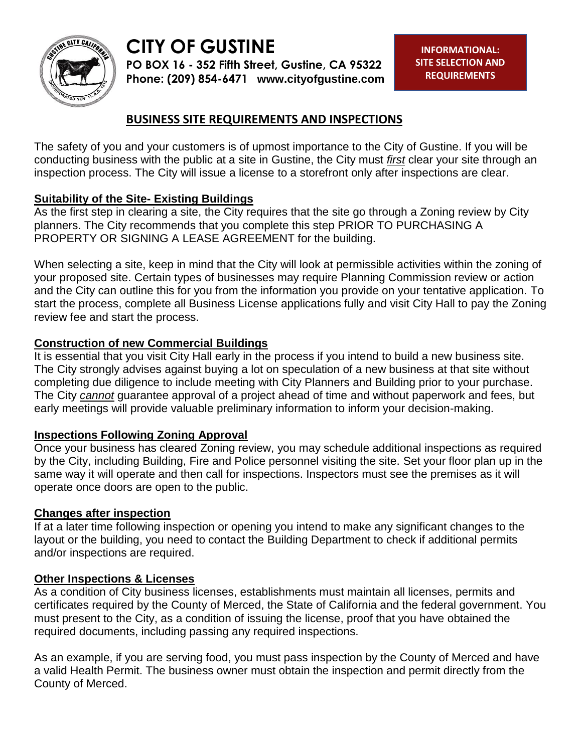

# **CITY OF GUSTINE**

**PO BOX 16 - 352 Fifth Street, Gustine, CA 95322 Phone: (209) 854-6471 www.cityofgustine.com**

# **BUSINESS SITE REQUIREMENTS AND INSPECTIONS**

The safety of you and your customers is of upmost importance to the City of Gustine. If you will be conducting business with the public at a site in Gustine, the City must *first* clear your site through an inspection process. The City will issue a license to a storefront only after inspections are clear.

# **Suitability of the Site- Existing Buildings**

As the first step in clearing a site, the City requires that the site go through a Zoning review by City planners. The City recommends that you complete this step PRIOR TO PURCHASING A PROPERTY OR SIGNING A LEASE AGREEMENT for the building.

When selecting a site, keep in mind that the City will look at permissible activities within the zoning of your proposed site. Certain types of businesses may require Planning Commission review or action and the City can outline this for you from the information you provide on your tentative application. To start the process, complete all Business License applications fully and visit City Hall to pay the Zoning review fee and start the process.

# **Construction of new Commercial Buildings**

It is essential that you visit City Hall early in the process if you intend to build a new business site. The City strongly advises against buying a lot on speculation of a new business at that site without completing due diligence to include meeting with City Planners and Building prior to your purchase. The City *cannot* guarantee approval of a project ahead of time and without paperwork and fees, but early meetings will provide valuable preliminary information to inform your decision-making.

#### **Inspections Following Zoning Approval**

Once your business has cleared Zoning review, you may schedule additional inspections as required by the City, including Building, Fire and Police personnel visiting the site. Set your floor plan up in the same way it will operate and then call for inspections. Inspectors must see the premises as it will operate once doors are open to the public.

#### **Changes after inspection**

If at a later time following inspection or opening you intend to make any significant changes to the layout or the building, you need to contact the Building Department to check if additional permits and/or inspections are required.

# **Other Inspections & Licenses**

As a condition of City business licenses, establishments must maintain all licenses, permits and certificates required by the County of Merced, the State of California and the federal government. You must present to the City, as a condition of issuing the license, proof that you have obtained the required documents, including passing any required inspections.

As an example, if you are serving food, you must pass inspection by the County of Merced and have a valid Health Permit. The business owner must obtain the inspection and permit directly from the County of Merced.